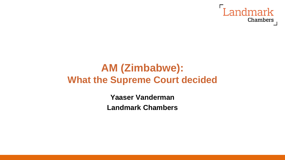

## **AM (Zimbabwe): What the Supreme Court decided**

**Yaaser Vanderman Landmark Chambers**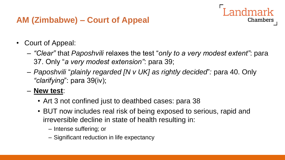## **AM (Zimbabwe) – Court of Appeal**

- Court of Appeal:
	- *"Clear"* that *Paposhvili* relaxes the test "*only to a very modest extent"*: para 37. Only "*a very modest extension"*: para 39;

**Chambers** 

- *Paposhvili* "*plainly regarded [N v UK] as rightly decided*"*:* para 40. Only *"clarifying*": para 39(iv);
- **New test**:
	- Art 3 not confined just to deathbed cases: para 38
	- BUT now includes real risk of being exposed to serious, rapid and irreversible decline in state of health resulting in:
		- Intense suffering; or
		- Significant reduction in life expectancy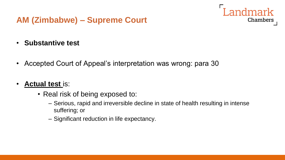- **Substantive test**
- Accepted Court of Appeal's interpretation was wrong: para 30
- **Actual test** is:
	- Real risk of being exposed to:
		- Serious, rapid and irreversible decline in state of health resulting in intense suffering; or

Landmark

**Chambers** 

– Significant reduction in life expectancy.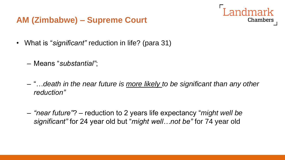

- What is "*significant"* reduction in life? (para 31)
	- Means "*substantial"*;
	- "…*death in the near future is more likely to be significant than any other reduction"*
	- *"near future"*? *–* reduction to 2 years life expectancy "*might well be significant"* for 24 year old but "*might well…not be"* for 74 year old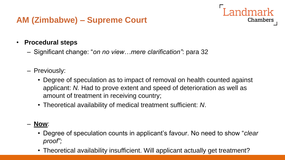#### • **Procedural steps**

- Significant change: "*on no view…mere clarification"*: para 32
- Previously:
	- Degree of speculation as to impact of removal on health counted against applicant: *N.* Had to prove extent and speed of deterioration as well as amount of treatment in receiving country;

Landmark

Chambers

• Theoretical availability of medical treatment sufficient: *N*.

#### – **Now**:

- Degree of speculation counts in applicant's favour. No need to show "*clear proof";*
- Theoretical availability insufficient. Will applicant actually get treatment?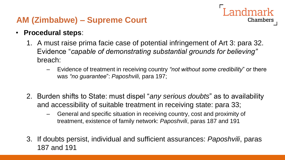- **Procedural steps**:
	- 1. A must raise prima facie case of potential infringement of Art 3: para 32. Evidence "*capable of demonstrating substantial grounds for believing"* breach:
		- Evidence of treatment in receiving country *"not without some credibility*" or there was *"no guarantee*": *Paposhvili,* para 197;

Landmark

Chambers

- 2. Burden shifts to State: must dispel "*any serious doubts*" as to availability and accessibility of suitable treatment in receiving state: para 33;
	- General and specific situation in receiving country, cost and proximity of treatment, existence of family network: *Paposhvili*, paras 187 and 191
- 3. If doubts persist, individual and sufficient assurances: *Paposhvili*, paras 187 and 191